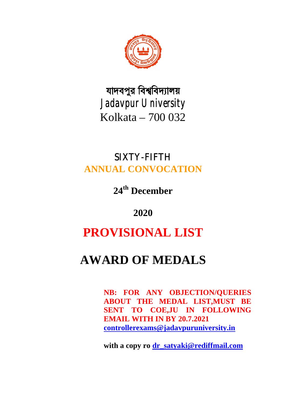

যাদবপুর বিশ্ববিদ্যালয় *Jadavpur University* Kolkata – 700 032

# SIXTY-FIFTH **ANNUAL CONVOCATION**

**24th December**

**2020**

# **PROVISIONAL LIST**

# **AWARD OF MEDALS**

**NB: FOR ANY OBJECTION/QUERIES ABOUT THE MEDAL LIST,MUST BE SENT TO COE,JU IN FOLLOWING EMAIL WITH IN BY 20.7.2021 controllerexams@jadavpuruniversity.in**

**with a copy ro dr\_satyaki@rediffmail.com**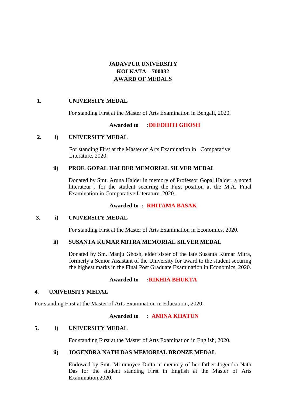# **JADAVPUR UNIVERSITY KOLKATA – 700032 AWARD OF MEDALS**

# **1. UNIVERSITY MEDAL**

For standing First at the Master of Arts Examination in Bengali, 2020.

# **Awarded to :DEEDHITI GHOSH**

# **2. i) UNIVERSITY MEDAL**

For standing First at the Master of Arts Examination in Comparative Literature, 2020.

# **ii) PROF. GOPAL HALDER MEMORIAL SILVER MEDAL**

Donated by Smt. Aruna Halder in memory of Professor Gopal Halder, a noted litterateur , for the student securing the First position at the M.A. Final Examination in Comparative Literature, 2020.

# **Awarded to : RHITAMA BASAK**

# **3. i) UNIVERSITY MEDAL**

For standing First at the Master of Arts Examination in Economics, 2020.

# **ii) SUSANTA KUMAR MITRA MEMORIAL SILVER MEDAL**

Donated by Sm. Manju Ghosh, elder sister of the late Susanta Kumar Mitra, formerly a Senior Assistant of the University for award to the student securing the highest marks in the Final Post Graduate Examination in Economics, 2020.

# **Awarded to :RIKHIA BHUKTA**

# **4. UNIVERSITY MEDAL**

For standing First at the Master of Arts Examination in Education , 2020.

# **Awarded to : AMINA KHATUN**

# **5. i) UNIVERSITY MEDAL**

For standing First at the Master of Arts Examination in English, 2020.

# **ii) JOGENDRA NATH DAS MEMORIAL BRONZE MEDAL**

Endowed by Smt. Mrinmoyee Dutta in memory of her father Jogendra Nath Das for the student standing First in English at the Master of Arts Examination,2020.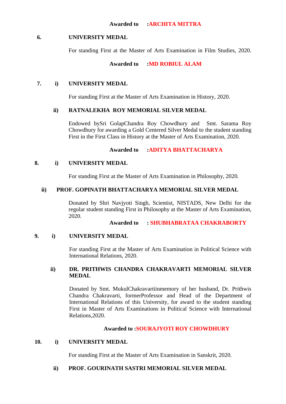# **6. UNIVERSITY MEDAL**

For standing First at the Master of Arts Examination in Film Studies, 2020.

# **Awarded to :MD ROBIUL ALAM**

# **7. i) UNIVERSITY MEDAL**

For standing First at the Master of Arts Examination in History, 2020.

# **ii) RATNALEKHA ROY MEMORIAL SILVER MEDAL**

Endowed bySri GolapChandra Roy Chowdhury and Smt. Sarama Roy Chowdhury for awarding a Gold Centered Silver Medal to the student standing First in the First Class in History at the Master of Arts Examination, 2020.

# **Awarded to :ADITYA BHATTACHARYA**

# **8. i) UNIVERSITY MEDAL**

For standing First at the Master of Arts Examination in Philosophy, 2020.

# **ii) PROF. GOPINATH BHATTACHARYA MEMORIAL SILVER MEDAL**

Donated by Shri Navjyoti Singh, Scientist, NISTADS, New Delhi for the regular student standing First in Philosophy at the Master of Arts Examination, 2020.

**Awarded to : SHUBHABRATAA CHAKRABORTY**

# **9. i) UNIVERSITY MEDAL**

For standing First at the Master of Arts Examination in Political Science with International Relations, 2020.

# **ii) DR. PRITHWIS CHANDRA CHAKRAVARTI MEMORIAL SILVER MEDAL**

Donated by Smt. MukulChakravartiinmemory of her husband, Dr. Prithwis Chandra Chakravarti, formerProfessor and Head of the Department of International Relations of this University, for award to the student standing First in Master of Arts Examinations in Political Science with International Relations,2020.

# **Awarded to :SOURAJYOTI ROY CHOWDHURY**

# **10. i) UNIVERSITY MEDAL**

For standing First at the Master of Arts Examination in Sanskrit, 2020.

# **ii) PROF. GOURINATH SASTRI MEMORIAL SILVER MEDAL**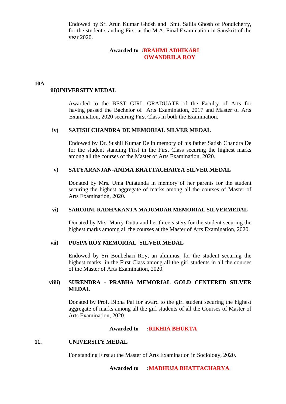Endowed by Sri Arun Kumar Ghosh and Smt. Salila Ghosh of Pondicherry, for the student standing First at the M.A. Final Examination in Sanskrit of the year 2020.

## **Awarded to :BRAHMI ADHIKARI OWANDRILA ROY**

#### **10A**

# **iii)UNIVERSITY MEDAL**

Awarded to the BEST GIRL GRADUATE of the Faculty of Arts for having passed the Bachelor of Arts Examination, 2017 and Master of Arts Examination, 2020 securing First Class in both the Examination.

### **iv) SATISH CHANDRA DE MEMORIAL SILVER MEDAL**

Endowed by Dr. Sushil Kumar De in memory of his father Satish Chandra De for the student standing First in the First Class securing the highest marks among all the courses of the Master of Arts Examination, 2020.

### **v) SATYARANJAN-ANIMA BHATTACHARYA SILVER MEDAL**

Donated by Mrs. Uma Putatunda in memory of her parents for the student securing the highest aggregate of marks among all the courses of Master of Arts Examination, 2020.

### **vi) SAROJINI-RADHAKANTA MAJUMDAR MEMORIAL SILVERMEDAL**

Donated by Mrs. Marry Dutta and her three sisters for the student securing the highest marks amomg all the courses at the Master of Arts Examination, 2020.

# **vii) PUSPA ROY MEMORIAL SILVER MEDAL**

Endowed by Sri Bonbehari Roy, an alumnus, for the student securing the highest marks in the First Class among all the girl students in all the courses of the Master of Arts Examination, 2020.

# **viiii) SURENDRA - PRABHA MEMORIAL GOLD CENTERED SILVER MEDAL**

Donated by Prof. Bibha Pal for award to the girl student securing the highest aggregate of marks among all the girl students of all the Courses of Master of Arts Examination, 2020.

### **Awarded to :RIKHIA BHUKTA**

# **11. UNIVERSITY MEDAL**

For standing First at the Master of Arts Examination in Sociology, 2020.

**Awarded to :MADHUJA BHATTACHARYA**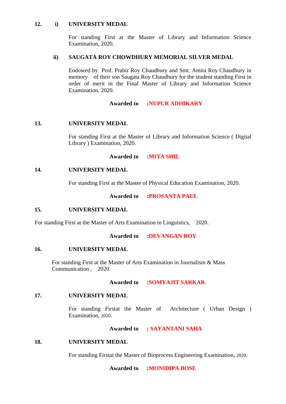# **12. i) UNIVERSITY MEDAL**

For standing First at the Master of Library and Information Science Examination, 2020.

# **ii) SAUGATA ROY CHOWDHURY MEMORIAL SILVER MEDAL**

Endowed by Prof. Prabir Roy Chaudhury and Smt. Amita Roy Chaudhury in memory of their son Saugata Roy Chaudhury for the student standing First in order of merit in the Final Master of Library and Information Science Examination, 2020.

# **Awarded to :NUPUR ADHIKARY**

# **13. UNIVERSITY MEDAL**

For standing First at the Master of Library and Information Science ( Digital Library ) Examination, 2020.

# **Awarded to :MITA SHIL**

# **14. UNIVERSITY MEDAL**

For standing First at the Master of Physical Education Examination, 2020.

# **Awarded to :PROSANTA PAUL**

# **15. UNIVERSITY MEDAL**

For standing First at the Master of Arts Examination in Linguistics, 2020.

# **Awarded to :DEVANGAN ROY**

# **16. UNIVERSITY MEDAL**

For standing First at the Master of Arts Examination in Journalism & Mass Communication , 2020.

### **Awarded to :SOMYAJIT SARKAR**

# **17. UNIVERSITY MEDAL**

For standing Firstat the Master of Architecture ( Urban Design ) Examination, 2020.

# **Awarded to : SAYANTANI SAHA**

# **18. UNIVERSITY MEDAL**

For standing Firstat the Master of Bioprocess Engineering Examination, 2020.

### **Awarded to :MONIDIPA BOSE**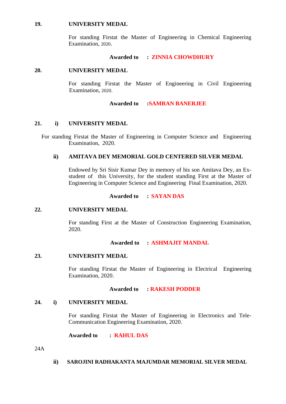### **19. UNIVERSITY MEDAL**

For standing Firstat the Master of Engineering in Chemical Engineering Examination, 2020.

### **Awarded to : ZINNIA CHOWDHURY**

### **20. UNIVERSITY MEDAL**

For standing Firstat the Master of Engineering in Civil Engineering Examination, 2020.

# **Awarded to :SAMRAN BANERJEE**

# **21. i) UNIVERSITY MEDAL**

For standing Firstat the Master of Engineering in Computer Science and Engineering Examination, 2020.

# **ii) AMITAVA DEY MEMORIAL GOLD CENTERED SILVER MEDAL**

Endowed by Sri Sisir Kumar Dey in memory of his son Amitava Dey, an Exstudent of this University, for the student standing First at the Master of Engineering in Computer Science and Engineering Final Examination, 2020.

# **Awarded to : SAYAN DAS**

### **22. UNIVERSITY MEDAL**

For standing First at the Master of Construction Engineering Examination, 2020.

### **Awarded to : ASHMAJIT MANDAL**

# **23. UNIVERSITY MEDAL**

For standing Firstat the Master of Engineering in Electrical Engineering Examination, 2020.

### **Awarded to : RAKESH PODDER**

# **24. i) UNIVERSITY MEDAL**

For standing Firstat the Master of Engineering in Electronics and Tele-Communication Engineering Examination, 2020.

**Awarded to : RAHUL DAS**

24A

**ii) SAROJINI RADHAKANTA MAJUMDAR MEMORIAL SILVER MEDAL**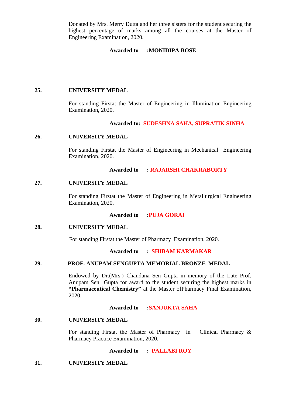Donated by Mrs. Merry Dutta and her three sisters for the student securing the highest percentage of marks among all the courses at the Master of Engineering Examination, 2020.

# **Awarded to :MONIDIPA BOSE**

### **25. UNIVERSITY MEDAL**

For standing Firstat the Master of Engineering in Illumination Engineering Examination, 2020.

### **Awarded to: SUDESHNA SAHA, SUPRATIK SINHA**

### **26. UNIVERSITY MEDAL**

For standing Firstat the Master of Engineering in Mechanical Engineering Examination, 2020.

### **Awarded to : RAJARSHI CHAKRABORTY**

### **27. UNIVERSITY MEDAL**

For standing Firstat the Master of Engineering in Metallurgical Engineering Examination, 2020.

### **Awarded to :PUJA GORAI**

### **28. UNIVERSITY MEDAL**

For standing Firstat the Master of Pharmacy Examination, 2020.

### **Awarded to : SHIBAM KARMAKAR**

# **29. PROF. ANUPAM SENGUPTA MEMORIAL BRONZE MEDAL**

Endowed by Dr.(Mrs.) Chandana Sen Gupta in memory of the Late Prof. Anupam Sen Gupta for award to the student securing the highest marks in **"Pharmaceutical Chemistry"** at the Master ofPharmacy Final Examination, 2020.

### **Awarded to :SANJUKTA SAHA**

### **30. UNIVERSITY MEDAL**

For standing Firstat the Master of Pharmacy in Clinical Pharmacy & Pharmacy Practice Examination, 2020.

**Awarded to : PALLABI ROY**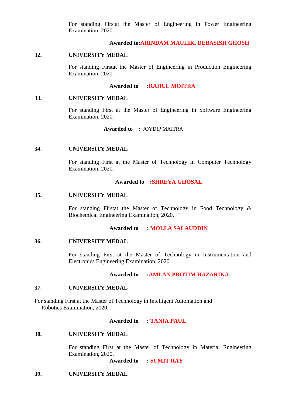For standing Firstat the Master of Engineering in Power Engineering Examination, 2020.

# **Awarded to:ARINDAM MAULIK, DEBASISH GHOSH**

### **32. UNIVERSITY MEDAL**

For standing Firstat the Master of Engineering in Production Engineering Examination, 2020.

### **Awarded to :RAHUL MOITRA**

### **33. UNIVERSITY MEDAL**

For standing First at the Master of Engineering in Software Engineering Examination, 2020.

**Awarded to :** JOYDIP MAITRA

#### **34. UNIVERSITY MEDAL**

For standing First at the Master of Technology in Computer Technology Examination, 2020.

#### **Awarded to :SHREYA GHOSAL**

#### **35. UNIVERSITY MEDAL**

For standing Firstat the Master of Technology in Food Technology & Biochemical Engineering Examination, 2020.

### **Awarded to : MOLLA SALAUDDIN**

### **36. UNIVERSITY MEDAL**

For standing First at the Master of Technology in Instrumentation and Electronics Engineering Examination, 2020.

### **Awarded to :AMLAN PROTIM HAZARIKA**

### **37. UNIVERSITY MEDAL**

For standing First at the Master of Technology in Intelligent Automation and Robotics Examination, 2020.

### **Awarded to : TANIA PAUL**

#### **38. UNIVERSITY MEDAL**

For standing First at the Master of Technology in Material Engineering Examination, 2020.

**Awarded to : SUMIT RAY**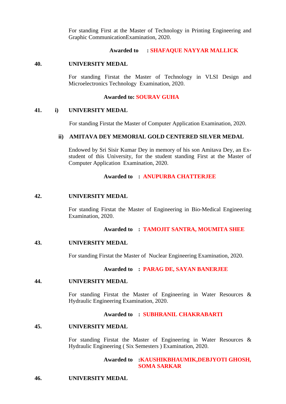For standing First at the Master of Technology in Printing Engineering and Graphic CommunicationExamination, 2020.

# **Awarded to : SHAFAQUE NAYYAR MALLICK**

### **40. UNIVERSITY MEDAL**

For standing Firstat the Master of Technology in VLSI Design and Microelectronics Technology Examination, 2020.

### **Awarded to: SOURAV GUHA**

### **41. i) UNIVERSITY MEDAL**

For standing Firstat the Master of Computer Application Examination, 2020.

### **ii) AMITAVA DEY MEMORIAL GOLD CENTERED SILVER MEDAL**

Endowed by Sri Sisir Kumar Dey in memory of his son Amitava Dey, an Exstudent of this University, for the student standing First at the Master of Computer Application Examination, 2020.

### **Awarded to : ANUPURBA CHATTERJEE**

# **42. UNIVERSITY MEDAL**

For standing Firstat the Master of Engineering in Bio-Medical Engineering Examination, 2020.

# **Awarded to : TAMOJIT SANTRA, MOUMITA SHEE**

# **43. UNIVERSITY MEDAL**

For standing Firstat the Master of Nuclear Engineering Examination, 2020.

### **Awarded to : PARAG DE, SAYAN BANERJEE**

### **44. UNIVERSITY MEDAL**

For standing Firstat the Master of Engineering in Water Resources  $\&$ Hydraulic Engineering Examination, 2020.

# **Awarded to : SUBHRANIL CHAKRABARTI**

### **45. UNIVERSITY MEDAL**

For standing Firstat the Master of Engineering in Water Resources & Hydraulic Engineering ( Six Semesters ) Examination, 2020.

# **Awarded to :KAUSHIKBHAUMIK,DEBJYOTI GHOSH, SOMA SARKAR**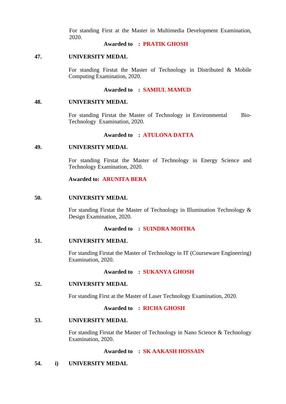For standing First at the Master in Multimedia Development Examination, 2020.

## **Awarded to : PRATIK GHOSH**

### **47. UNIVERSITY MEDAL**

For standing Firstat the Master of Technology in Distributed & Mobile Computing Examination, 2020.

# **Awarded to : SAMIUL MAMUD**

### **48. UNIVERSITY MEDAL**

For standing Firstat the Master of Technology in Environmental Bio-Technology Examination, 2020.

# **Awarded to : ATULONA DATTA**

### **49. UNIVERSITY MEDAL**

For standing Firstat the Master of Technology in Energy Science and Technology Examination, 2020.

**Awarded to: ARUNITA BERA**

### **50. UNIVERSITY MEDAL**

For standing Firstat the Master of Technology in Illumination Technology & Design Examination, 2020.

# **Awarded to : SUINDRA MOITRA**

### **51. UNIVERSITY MEDAL**

For standing Firstat the Master of Technology in IT (Courseware Engineering) Examination, 2020.

# **Awarded to : SUKANYA GHOSH**

### **52. UNIVERSITY MEDAL**

For standing First at the Master of Laser Technology Examination, 2020.

### **Awarded to : RICHA GHOSH**

### **53. UNIVERSITY MEDAL**

For standing Firstat the Master of Technology in Nano Science & Technology Examination, 2020.

# **Awarded to : SK AAKASH HOSSAIN**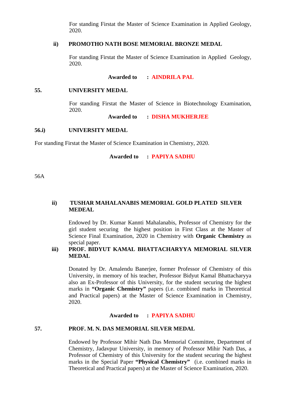For standing Firstat the Master of Science Examination in Applied Geology, 2020.

### **ii) PROMOTHO NATH BOSE MEMORIAL BRONZE MEDAL**

For standing Firstat the Master of Science Examination in Applied Geology, 2020.

### **Awarded to : AINDRILA PAL**

### **55. UNIVERSITY MEDAL**

For standing Firstat the Master of Science in Biotechnology Examination, 2020.

**Awarded to : DISHA MUKHERJEE**

### **56.i) UNIVERSITY MEDAL**

For standing Firstat the Master of Science Examination in Chemistry, 2020.

**Awarded to : PAPIYA SADHU**

56A

# **ii) TUSHAR MAHALANABIS MEMORIAL GOLD PLATED SILVER MEDEAL**

Endowed by Dr. Kumar Kannti Mahalanabis, Professor of Chemistry for the girl student securing the highest position in First Class at the Master of Science Final Examination, 2020 in Chemistry with **Organic Chemistry** as special paper.

# **iii) PROF. BIDYUT KAMAL BHATTACHARYYA MEMORIAL SILVER MEDAL**

Donated by Dr. Amalendu Banerjee, former Professor of Chemistry of this University, in memory of his teacher, Professor Bidyut Kamal Bhattacharyya also an Ex-Professor of this University, for the student securing the highest marks in **"Organic Chemistry"** papers (i.e. combined marks in Theoretical and Practical papers) at the Master of Science Examination in Chemistry, 2020.

### **Awarded to : PAPIYA SADHU**

# **57. PROF. M. N. DAS MEMORIAL SILVER MEDAL**

Endowed by Professor Mihir Nath Das Memorial Committee, Department of Chemistry, Jadavpur University, in memory of Professor Mihir Nath Das, a Professor of Chemistry of this University for the student securing the highest marks in the Special Paper **"Physical Chemistry"** (i.e. combined marks in Theoretical and Practical papers) at the Master of Science Examination, 2020.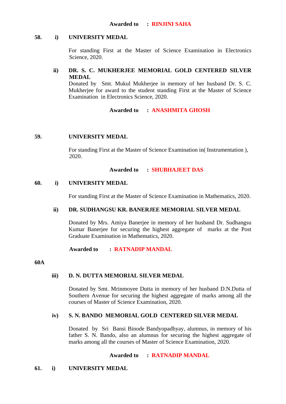# **58. i) UNIVERSITY MEDAL**

For standing First at the Master of Science Examination in Electronics Science, 2020.

# **ii) DR. S. C. MUKHERJEE MEMORIAL GOLD CENTERED SILVER MEDAL**

Donated by Smt. Mukul Mukherjee in memory of her husband Dr. S. C. Mukherjee for award to the student standing First at the Master of Science Examination in Electronics Science, 2020.

# **Awarded to : ANASHMITA GHOSH**

# **59. UNIVERSITY MEDAL**

For standing First at the Master of Science Examination in( Instrumentation ), 2020.

# **Awarded to : SHUBHAJEET DAS**

# **60. i) UNIVERSITY MEDAL**

For standing First at the Master of Science Examination in Mathematics, 2020.

# **ii) DR. SUDHANGSU KR. BANERJEE MEMORIAL SILVER MEDAL**

Donated by Mrs. Amiya Banerjee in memory of her husband Dr. Sudhangsu Kumar Banerjee for securing the highest aggregate of marks at the Post Graduate Examination in Mathematics, 2020.

**Awarded to : RATNADIP MANDAL**

**60A**

# **iii) D. N. DUTTA MEMORIAL SILVER MEDAL**

Donated by Smt. Mrinmoyee Dutta in memory of her husband D.N.Dutta of Southern Avenue for securing the highest aggregate of marks among all the courses of Master of Science Examination, 2020.

# **iv) S. N. BANDO MEMORIAL GOLD CENTERED SILVER MEDAL**

Donated by Sri Bansi Binode Bandyopadhyay, alumnus, in memory of his father S. N. Bando, also an alumnus for securing the highest aggregate of marks among all the courses of Master of Science Examination, 2020.

# **Awarded to : RATNADIP MANDAL**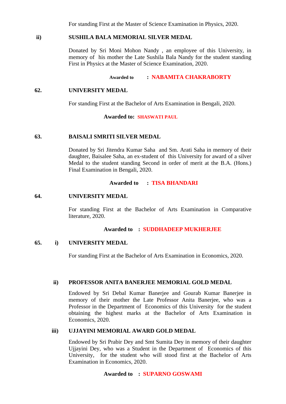For standing First at the Master of Science Examination in Physics, 2020.

# **ii) SUSHILA BALA MEMORIAL SILVER MEDAL**

Donated by Sri Moni Mohon Nandy , an employee of this University, in memory of his mother the Late Sushila Bala Nandy for the student standing First in Physics at the Master of Science Examination, 2020.

# **Awarded to : NABAMITA CHAKRABORTY**

### **62. UNIVERSITY MEDAL**

For standing First at the Bachelor of Arts Examination in Bengali, 2020.

### **Awarded to: SHASWATI PAUL**

# **63. BAISALI SMRITI SILVER MEDAL**

Donated by Sri Jitendra Kumar Saha and Sm. Arati Saha in memory of their daughter, Baisalee Saha, an ex-student of this University for award of a silver Medal to the student standing Second in order of merit at the B.A. (Hons.) Final Examination in Bengali, 2020.

### **Awarded to : TISA BHANDARI**

### **64. UNIVERSITY MEDAL**

For standing First at the Bachelor of Arts Examination in Comparative literature, 2020.

### **Awarded to : SUDDHADEEP MUKHERJEE**

### **65. i) UNIVERSITY MEDAL**

For standing First at the Bachelor of Arts Examination in Economics, 2020.

### **ii) PROFESSOR ANITA BANERJEE MEMORIAL GOLD MEDAL**

Endowed by Sri Debal Kumar Banerjee and Gourab Kumar Banerjee in memory of their mother the Late Professor Anita Banerjee, who was a Professor in the Department of Economics of this University for the student obtaining the highest marks at the Bachelor of Arts Examination in Economics, 2020.

### **iii) UJJAYINI MEMORIAL AWARD GOLD MEDAL**

Endowed by Sri Prabir Dey and Smt Sumita Dey in memory of their daughter Ujjayini Dey, who was a Student in the Department of Economics of this University, for the student who will stood first at the Bachelor of Arts Examination in Economics, 2020.

# **Awarded to : SUPARNO GOSWAMI**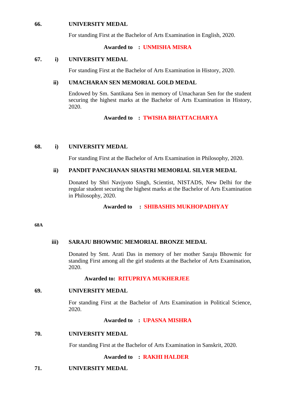# **66. UNIVERSITY MEDAL**

For standing First at the Bachelor of Arts Examination in English, 2020.

### **Awarded to : UNMISHA MISRA**

### **67. i) UNIVERSITY MEDAL**

For standing First at the Bachelor of Arts Examination in History, 2020.

### **ii) UMACHARAN SEN MEMORIAL GOLD MEDAL**

Endowed by Sm. Santikana Sen in memory of Umacharan Sen for the student securing the highest marks at the Bachelor of Arts Examination in History, 2020.

# **Awarded to : TWISHA BHATTACHARYA**

### **68. i) UNIVERSITY MEDAL**

For standing First at the Bachelor of Arts Examination in Philosophy, 2020.

# **ii) PANDIT PANCHANAN SHASTRI MEMORIAL SILVER MEDAL**

Donated by Shri Navjyoto Singh, Scientist, NISTADS, New Delhi for the regular student securing the highest marks at the Bachelor of Arts Examination in Philosophy, 2020.

# **Awarded to : SHIBASHIS MUKHOPADHYAY**

#### **68A**

### **iii) SARAJU BHOWMIC MEMORIAL BRONZE MEDAL**

Donated by Smt. Arati Das in memory of her mother Saraju Bhowmic for standing First among all the girl students at the Bachelor of Arts Examination, 2020.

### **Awarded to: RITUPRIYA MUKHERJEE**

### **69. UNIVERSITY MEDAL**

For standing First at the Bachelor of Arts Examination in Political Science, 2020.

### **Awarded to : UPASNA MISHRA**

### **70. UNIVERSITY MEDAL**

For standing First at the Bachelor of Arts Examination in Sanskrit, 2020.

### **Awarded to : RAKHI HALDER**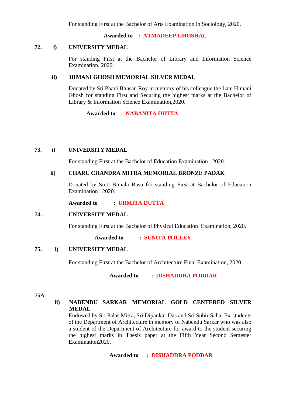For standing First at the Bachelor of Arts Examination in Sociology, 2020.

**Awarded to : ATMADEEP GHOSHAL**

# **72. i) UNIVERSITY MEDAL**

For standing First at the Bachelor of Library and Information Science Examination, 2020.

# **ii) HIMANI GHOSH MEMORIAL SILVER MEDAL**

Donated by Sri Phani Bhusan Roy in memory of his colleague the Late Himani Ghosh for standing First and Securing the highest marks at the Bachelor of Library & Information Science Examination,2020.

**Awarded to : NABANITA DUTTA**

# **73. i) UNIVERSITY MEDAL**

For standing First at the Bachelor of Education Examination , 2020.

# **ii) CHARU CHANDRA MITRA MEMORIAL BRONZE PADAK**

Donated by Smt. Bimala Basu for standing First at Bachelor of Education Examination , 2020.

**Awarded to : URMITA DUTTA**

# **74. UNIVERSITY MEDAL**

For standing First at the Bachelor of Physical Education Examination, 2020.

 **Awarded to : SUNITA POLLEY**

# **75. i) UNIVERSITY MEDAL**

For standing First at the Bachelor of Architecture Final Examination, 2020.

**Awarded to : DISHADDRA PODDAR**

**75A**

# **ii) NABENDU SARKAR MEMORIAL GOLD CENTERED SILVER MEDAL**

Endowed by Sri Palas Mitra, Sri Dipankar Das and Sri Subir Saha, Ex-students of the Department of Architecture in memory of Nabendu Sarkar who was also a student of the Department of Architecture for award to the student securing the highest marks in Thesis paper at the Fifth Year Second Semester Examination2020.

**Awarded to : DISHADDRA PODDAR**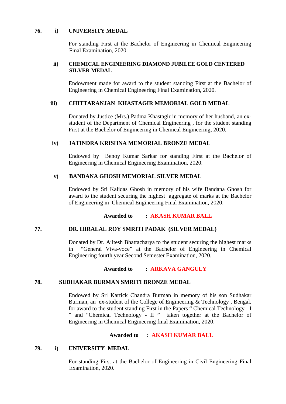### **76. i) UNIVERSITY MEDAL**

For standing First at the Bachelor of Engineering in Chemical Engineering Final Examination, 2020.

### **ii) CHEMICAL ENGINEERING DIAMOND JUBILEE GOLD CENTERED SILVER MEDAL**

Endowment made for award to the student standing First at the Bachelor of Engineering in Chemical Engineering Final Examination, 2020.

# **iii) CHITTARANJAN KHASTAGIR MEMORIAL GOLD MEDAL**

Donated by Justice (Mrs.) Padma Khastagir in memory of her husband, an exstudent of the Department of Chemical Engineering , for the student standing First at the Bachelor of Engineering in Chemical Engineering, 2020.

# **iv) JATINDRA KRISHNA MEMORIAL BRONZE MEDAL**

Endowed by Benoy Kumar Sarkar for standing First at the Bachelor of Engineering in Chemical Engineering Examination, 2020.

# **v) BANDANA GHOSH MEMORIAL SILVER MEDAL**

Endowed by Sri Kalidas Ghosh in memory of his wife Bandana Ghosh for award to the student securing the highest aggregate of marks at the Bachelor of Engineering in Chemical Engineering Final Examination, 2020.

# **Awarded to : AKASH KUMAR BALL**

# **77. DR. HIRALAL ROY SMRITI PADAK (SILVER MEDAL)**

Donated by Dr. Ajitesh Bhattacharya to the student securing the highest marks in "General Viva-voce" at the Bachelor of Engineering in Chemical Engineering fourth year Second Semester Examination, 2020.

# **Awarded to : ARKAVA GANGULY**

# **78. SUDHAKAR BURMAN SMRITI BRONZE MEDAL**

Endowed by Sri Kartick Chandra Burman in memory of his son Sudhakar Burman, an ex-student of the College of Engineering & Technology , Bengal, for award to the student standing First in the Papers " Chemical Technology - I " and "Chemical Technology - II " taken together at the Bachelor of Engineering in Chemical Engineering final Examination, 2020.

# **Awarded to : AKASH KUMAR BALL**

# **79. i) UNIVERSITY MEDAL**

For standing First at the Bachelor of Engineering in Civil Engineering Final Examination, 2020.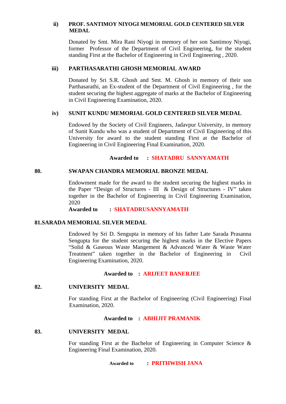# **ii) PROF. SANTIMOY NIYOGI MEMORIAL GOLD CENTERED SILVER MEDAL**

Donated by Smt. Mira Rani Niyogi in memory of her son Santimoy Niyogi, former Professor of the Department of Civil Engineering, for the student standing First at the Bachelor of Engineering in Civil Engineering , 2020.

# **iii) PARTHASARATHI GHOSH MEMORIAL AWARD**

Donated by Sri S.R. Ghosh and Smt. M. Ghosh in memory of their son Parthasarathi, an Ex-student of the Department of Civil Engineering , for the student securing the highest aggregate of marks at the Bachelor of Engineering in Civil Engineering Examination, 2020.

# **iv) SUNIT KUNDU MEMORIAL GOLD CENTERED SILVER MEDAL**

Endowed by the Society of Civil Engineers, Jadavpur University, in memory of Sunit Kundu who was a student of Department of Civil Engineering of this University for award to the student standing First at the Bachelor of Engineering in Civil Engineering Final Examination, 2020.

# **Awarded to : SHATADRU SANNYAMATH**

# **80. SWAPAN CHANDRA MEMORIAL BRONZE MEDAL**

Endowment made for the award to the student securing the highest marks in the Paper "Design of Structures - III & Design of Structures - IV" taken together in the Bachelor of Engineering in Civil Engineering Examination, 2020.

**Awarded to : SHATADRUSANNYAMATH**

# **81.SARADA MEMORIAL SILVER MEDAL**

Endowed by Sri D. Sengupta in memory of his father Late Sarada Prasanna Sengupta for the student securing the highest marks in the Elective Papers "Solid & Gaseous Waste Mangement & Advanced Water & Waste Water Treatment" taken together in the Bachelor of Engineering in Civil Engineering Examination, 2020.

# **Awarded to : ARIJEET BANERJEE**

# **82. UNIVERSITY MEDAL**

For standing First at the Bachelor of Engineering (Civil Engineering) Final Examination, 2020.

# **Awarded to : ABHIJIT PRAMANIK**

# **83. UNIVERSITY MEDAL**

For standing First at the Bachelor of Engineering in Computer Science  $\&$ Engineering Final Examination, 2020.

**Awarded to : PRITHWISH JANA**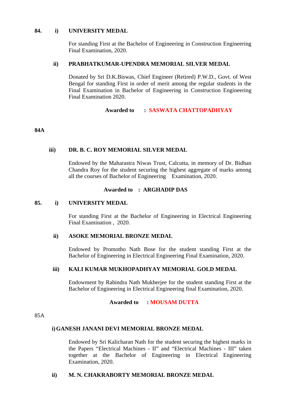### **84. i) UNIVERSITY MEDAL**

For standing First at the Bachelor of Engineering in Construction Engineering Final Examination, 2020.

# **ii) PRABHATKUMAR-UPENDRA MEMORIAL SILVER MEDAL**

Donated by Sri D.K.Biswas, Chief Engineer (Retired) P.W.D., Govt. of West Bengal for standing First in order of merit among the regular students in the Final Examination in Bachelor of Engineering in Construction Engineering Final Examination 2020.

# **Awarded to : SASWATA CHATTOPADHYAY**

# **84A**

# **iii) DR. B. C. ROY MEMORIAL SILVER MEDAL**

Endowed by the Maharastra Niwas Trust, Calcutta, in memory of Dr. Bidhan Chandra Roy for the student securing the highest aggregate of marks among all the courses of Bachelor of Engineering Examination, 2020.

### **Awarded to : ARGHADIP DAS**

## **85. i) UNIVERSITY MEDAL**

For standing First at the Bachelor of Engineering in Electrical Engineering Final Examination , 2020.

### **ii) ASOKE MEMORIAL BRONZE MEDAL**

Endowed by Promotho Nath Bose for the student standing First at the Bachelor of Engineering in Electrical Engineering Final Examination, 2020.

# **iii) KALI KUMAR MUKHOPADHYAY MEMORIAL GOLD MEDAL**

Endowment by Rabindra Nath Mukherjee for the student standing First at the Bachelor of Engineering in Electrical Engineering final Examination, 2020.

**Awarded to : MOUSAM DUTTA**

85A

# **i) GANESH JANANI DEVI MEMORIAL BRONZE MEDAL**

Endowed by Sri Kalicharan Nath for the student securing the highest marks in the Papers "Electrical Machines - II" and "Electrical Machines - III" taken together at the Bachelor of Engineering in Electrical Engineering Examination, 2020.

# **ii) M. N. CHAKRABORTY MEMORIAL BRONZE MEDAL**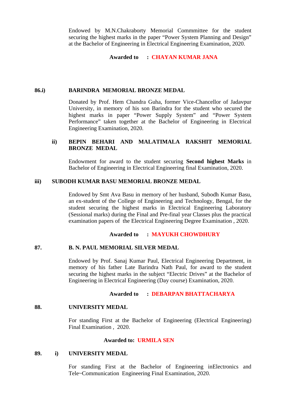Endowed by M.N.Chakraborty Memorial Commmittee for the student securing the highest marks in the paper "Power System Planning and Design" at the Bachelor of Engineering in Electrical Engineering Examination, 2020.

**Awarded to : CHAYAN KUMAR JANA**

### **86.i) BARINDRA MEMORIAL BRONZE MEDAL**

Donated by Prof. Hem Chandra Guha, former Vice-Chancellor of Jadavpur University, in memory of his son Barindra for the student who secured the highest marks in paper "Power Supply System" and "Power System Performance" taken together at the Bachelor of Engineering in Electrical Engineering Examination, 2020.

# **ii) BEPIN BEHARI AND MALATIMALA RAKSHIT MEMORIAL BRONZE MEDAL**

Endowment for award to the student securing **Second highest Marks** in Bachelor of Engineering in Electrical Engineering final Examination, 2020.

### **iii) SUBODH KUMAR BASU MEMORIAL BRONZE MEDAL**

Endowed by Smt Ava Basu in memory of her husband, Subodh Kumar Basu, an ex-student of the College of Engineering and Technology, Bengal, for the student securing the highest marks in Electrical Engineering Laboratory (Sessional marks) during the Final and Pre-final year Classes plus the practical examination papers of the Electrical Engineering Degree Examination , 2020.

### **Awarded to : MAYUKH CHOWDHURY**

### **87. B. N. PAUL MEMORIAL SILVER MEDAL**

Endowed by Prof. Sanaj Kumar Paul, Electrical Engineering Department, in memory of his father Late Barindra Nath Paul, for award to the student securing the highest marks in the subject "Electric Drives" at the Bachelor of Engineering in Electrical Engineering (Day course) Examination, 2020.

### **Awarded to : DEBARPAN BHATTACHARYA**

### **88. UNIVERSITY MEDAL**

For standing First at the Bachelor of Engineering (Electrical Engineering) Final Examination , 2020.

### **Awarded to: URMILA SEN**

# **89. i) UNIVERSITY MEDAL**

For standing First at the Bachelor of Engineering inElectronics and Tele~Communication Engineering Final Examination, 2020.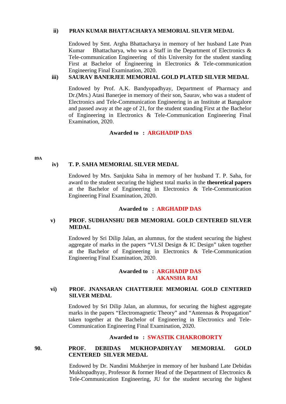### **ii) PRAN KUMAR BHATTACHARYA MEMORIAL SILVER MEDAL**

Endowed by Smt. Argha Bhattacharya in memory of her husband Late Pran Kumar Bhattacharya, who was a Staff in the Department of Electronics  $\&$ Tele-communication Engineering of this University for the student standing First at Bachelor of Engineering in Electronics & Tele-communication Engineering Final Examination, 2020.

# **iii) SAURAV BANERJEE MEMORIAL GOLD PLATED SILVER MEDAL**

Endowed by Prof. A.K. Bandyopadhyay, Department of Pharmacy and Dr.(Mrs.) Atasi Banerjee in memory of their son, Saurav, who was a student of Electronics and Tele-Communication Engineering in an Institute at Bangalore and passed away at the age of 21, for the student standing First at the Bachelor of Engineering in Electronics & Tele-Communication Engineering Final Examination, 2020.

# **Awarded to : ARGHADIP DAS**

**89A**

# **iv) T. P. SAHA MEMORIAL SILVER MEDAL**

Endowed by Mrs. Sanjukta Saha in memory of her husband T. P. Saha, for award to the student securing the highest total marks in the **theoretical papers** at the Bachelor of Engineering in Electronics & Tele-Communication Engineering Final Examination, 2020.

# **Awarded to : ARGHADIP DAS**

# **v) PROF. SUDHANSHU DEB MEMORIAL GOLD CENTERED SILVER MEDAL**

Endowed by Sri Dilip Jalan, an alumnus, for the student securing the highest aggregate of marks in the papers "VLSI Design & IC Design" taken together at the Bachelor of Engineering in Electronics & Tele-Communication Engineering Final Examination, 2020.

# **Awarded to : ARGHADIP DAS AKANSHA RAI**

# **vi) PROF. JNANSARAN CHATTERJEE MEMORIAL GOLD CENTERED SILVER MEDAL**

Endowed by Sri Dilip Jalan, an alumnus, for securing the highest aggregate marks in the papers "Electromagnetic Theory" and "Antennas & Propagation" taken together at the Bachelor of Engineering in Electronics and Tele-Communication Engineering Final Examination, 2020.

# **Awarded to : SWASTIK CHAKROBORTY**

**90. PROF. DEBIDAS MUKHOPADHYAY MEMORIAL GOLD CENTERED SILVER MEDAL**

> Endowed by Dr. Nandini Mukherjee in memory of her husband Late Debidas Mukhopadhyay, Professor & former Head of the Department of Electronics & Tele-Communication Engineering, JU for the student securing the highest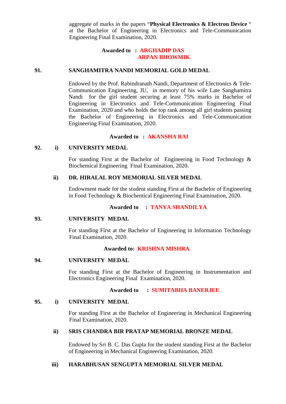aggregate of marks in the papers "**Physical Electronics & Electron Device** " at the Bachelor of Engineering in Electronics and Tele-Communication Engineering Final Examination, 2020.

# **Awarded to : ARGHADIP DAS ARPAN BHOWMIK**

### **91. SANGHAMITRA NANDI MEMORIAL GOLD MEDAL**

Endowed by the Prof. Rabindranath Nandi, Department of Electronics & Tele-Communication Engineering, JU, in memory of his wife Late Sanghamitra Nandi for the girl student securing at least 75% marks in Bachelor of Engineering in Electronics and Tele-Communication Engineering Final Examination, 2020 and who holds the top rank among all girl students passing the Bachelor of Engineering in Electronics and Tele-Communication Engineering Final Examination, 2020.

### **Awarded to : AKANSHA RAI**

### **92. i) UNIVERSITY MEDAL**

For standing First at the Bachelor of Engineering in Food Technology  $\&$ Biochemical Engineering Final Examination, 2020.

### **ii) DR. HIRALAL ROY MEMORIAL SILVER MEDAL**

Endowment made for the student standing First at the Bachelor of Engineering in Food Technology & Biochemical Engineering Final Examination, 2020.

# **Awarded to : TANYA SHANDILYA**

### **93. UNIVERSITY MEDAL**

For standing First at the Bachelor of Engineering in Information Technology Final Examination, 2020.

# **Awarded to: KRISHNA MISHRA**

### **94. UNIVERSITY MEDAL**

For standing First at the Bachelor of Engineering in Instrumentation and Electronics Engineering Final Examination, 2020.

### **Awarded to : SUMITABHA BANERJEE**

### **95. i) UNIVERSITY MEDAL**

For standing First at the Bachelor of Engineering in Mechanical Engineering Final Examination, 2020.

# **ii) SRIS CHANDRA BIR PRATAP MEMORIAL BRONZE MEDAL**

Endowed by Sri B. C. Das Gupta for the student standing First at the Bachelor of Engineering in Mechanical Engineering Examination, 2020.

# **iii) HARABHUSAN SENGUPTA MEMORIAL SILVER MEDAL**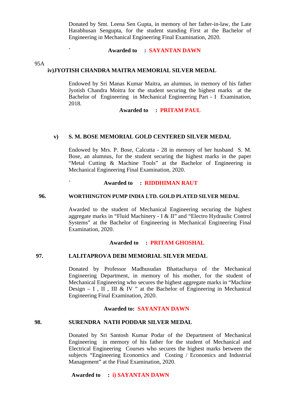Donated by Smt. Leena Sen Gupta, in memory of her father-in-law, the Late Harabhusan Sengupta, for the student standing First at the Bachelor of Engineering in Mechanical Engineering Final Examination, 2020.

### Awarded to : SAYANTAN DAWN

95A

### **iv)JYOTISH CHANDRA MAITRA MEMORIAL SILVER MEDAL**

Endowed by Sri Manas Kumar Maitra, an alumnus, in memory of his father Jyotish Chandra Moitra for the student securing the highest marks at the Bachelor of Engineering in Mechanical Engineering Part - I Examination, 2018.

### **Awarded to : PRITAM PAUL**

## **v) S. M. BOSE MEMORIAL GOLD CENTERED SILVER MEDAL**

Endowed by Mrs. P. Bose, Calcutta - 28 in memory of her husband S. M. Bose, an alumnus, for the student securing the highest marks in the paper "Metal Cutting & Machine Tools" at the Bachelor of Engineering in Mechanical Engineering Final Examination, 2020.

# **` Awarded to : RIDDHIMAN RAUT**

#### **96. WORTHINGTON PUMP INDIA LTD. GOLD PLATED SILVER MEDAL**

Awarded to the student of Mechanical Engineering securing the highest aggregate marks in "Fluid Machinery - I & II" and "Electro Hydraulic Control Systems" at the Bachelor of Engineering in Mechanical Engineering Final Examination, 2020.

### **Awarded to : PRITAM GHOSHAL**

### **97. LALITAPROVA DEBI MEMORIAL SILVER MEDAL**

Donated by Professor Madhusudan Bhattacharya of the Mechanical Engineering Department, in memory of his mother, for the student of Mechanical Engineering who secures the highest aggregate marks in "Machine Design – I, II, III & IV " at the Bachelor of Engineering in Mechanical Engineering Final Examination, 2020.

### **Awarded to: SAYANTAN DAWN**

#### **98. SURENDRA NATH PODDAR SILVER MEDAL**

Donated by Sri Santosh Kumar Podar of the Department of Mechanical Engineering in memory of his father for the student of Mechanical and Electrical Engineering Courses who secures the highest marks between the subjects "Engineering Economics and Costing / Economics and Industrial Management" at the Final Examination, 2020.

### **Awarded to : i) SAYANTAN DAWN**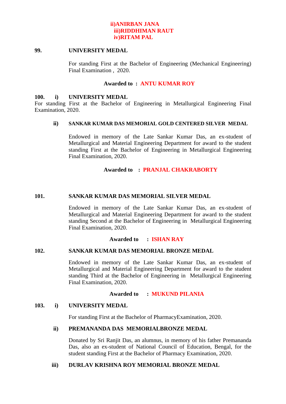# **ii)ANIRBAN JANA iii)RIDDHIMAN RAUT iv)RITAM PAL**

### **99. UNIVERSITY MEDAL**

For standing First at the Bachelor of Engineering (Mechanical Engineering) Final Examination , 2020.

# **Awarded to : ANTU KUMAR ROY**

### **100. i) UNIVERSITY MEDAL**

For standing First at the Bachelor of Engineering in Metallurgical Engineering Final Examination, 2020.

### **ii) SANKAR KUMAR DAS MEMORIAL GOLD CENTERED SILVER MEDAL**

Endowed in memory of the Late Sankar Kumar Das, an ex-student of Metallurgical and Material Engineering Department for award to the student standing First at the Bachelor of Engineering in Metallurgical Engineering Final Examination, 2020.

# **Awarded to : PRANJAL CHAKRABORTY**

# **101. SANKAR KUMAR DAS MEMORIAL SILVER MEDAL**

Endowed in memory of the Late Sankar Kumar Das, an ex-student of Metallurgical and Material Engineering Department for award to the student standing Second at the Bachelor of Engineering in Metallurgical Engineering Final Examination, 2020.

# **Awarded to : ISHAN RAY**

# **102. SANKAR KUMAR DAS MEMORIAL BRONZE MEDAL**

Endowed in memory of the Late Sankar Kumar Das, an ex-student of Metallurgical and Material Engineering Department for award to the student standing Third at the Bachelor of Engineering in Metallurgical Engineering Final Examination, 2020.

### **Awarded to : MUKUND PILANIA**

# **103. i) UNIVERSITY MEDAL**

For standing First at the Bachelor of PharmacyExamination, 2020.

# **ii) PREMANANDA DAS MEMORIALBRONZE MEDAL**

Donated by Sri Ranjit Das, an alumnus, in memory of his father Premananda Das, also an ex-student of National Council of Education, Bengal, for the student standing First at the Bachelor of Pharmacy Examination, 2020.

# **iii) DURLAV KRISHNA ROY MEMORIAL BRONZE MEDAL**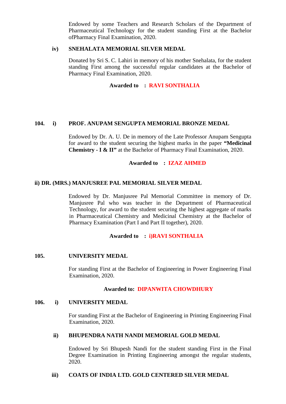Endowed by some Teachers and Research Scholars of the Department of Pharmaceutical Technology for the student standing First at the Bachelor ofPharmacy Final Examination, 2020.

### **iv) SNEHALATA MEMORIAL SILVER MEDAL**

Donated by Sri S. C. Lahiri in memory of his mother Snehalata, for the student standing First among the successful regular candidates at the Bachelor of Pharmacy Final Examination, 2020.

# **Awarded to : RAVI SONTHALIA**

# **104. i) PROF. ANUPAM SENGUPTA MEMORIAL BRONZE MEDAL**

Endowed by Dr. A. U. De in memory of the Late Professor Anupam Sengupta for award to the student securing the highest marks in the paper **"Medicinal Chemistry - I & II"** at the Bachelor of Pharmacy Final Examination, 2020.

# **Awarded to : IZAZ AHMED**

# **ii) DR. (MRS.) MANJUSREE PAL MEMORIAL SILVER MEDAL**

Endowed by Dr. Manjusree Pal Memorial Committee in memory of Dr. Manjusree Pal who was teacher in the Department of Pharmaceutical Technology, for award to the student securing the highest aggregate of marks in Pharmaceutical Chemistry and Medicinal Chemistry at the Bachelor of Pharmacy Examination (Part I and Part II together), 2020.

### **Awarded to : i)RAVI SONTHALIA**

### **105. UNIVERSITY MEDAL**

For standing First at the Bachelor of Engineering in Power Engineering Final Examination, 2020.

# **Awarded to: DIPANWITA CHOWDHURY**

### **106. i) UNIVERSITY MEDAL**

For standing First at the Bachelor of Engineering in Printing Engineering Final Examination, 2020.

### **ii) BHUPENDRA NATH NANDI MEMORIAL GOLD MEDAL**

Endowed by Sri Bhupesh Nandi for the student standing First in the Final Degree Examination in Printing Engineering amongst the regular students, 2020.

# **iii) COATS OF INDIA LTD. GOLD CENTERED SILVER MEDAL**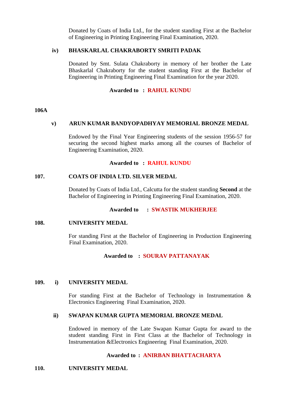Donated by Coats of India Ltd., for the student standing First at the Bachelor of Engineering in Printing Engineering Final Examination, 2020.

# **iv) BHASKARLAL CHAKRABORTY SMRITI PADAK**

Donated by Smt. Sulata Chakraborty in memory of her brother the Late Bhaskarlal Chakraborty for the student standing First at the Bachelor of Engineering in Printing Engineering Final Examination for the year 2020.

# **Awarded to : RAHUL KUNDU**

### **106A**

# **v) ARUN KUMAR BANDYOPADHYAY MEMORIAL BRONZE MEDAL**

Endowed by the Final Year Engineering students of the session 1956-57 for securing the second highest marks among all the courses of Bachelor of Engineering Examination, 2020.

# **Awarded to : RAHUL KUNDU**

### **107. COATS OF INDIA LTD. SILVER MEDAL**

Donated by Coats of India Ltd., Calcutta for the student standing **Second** at the Bachelor of Engineering in Printing Engineering Final Examination, 2020.

# **Awarded to : SWASTIK MUKHERJEE**

### **108. UNIVERSITY MEDAL**

For standing First at the Bachelor of Engineering in Production Engineering Final Examination, 2020.

# **Awarded to : SOURAV PATTANAYAK**

# **109. i) UNIVERSITY MEDAL**

For standing First at the Bachelor of Technology in Instrumentation  $\&$ Electronics Engineering Final Examination, 2020.

# **ii) SWAPAN KUMAR GUPTA MEMORIAL BRONZE MEDAL**

Endowed in memory of the Late Swapan Kumar Gupta for award to the student standing First in First Class at the Bachelor of Technology in Instrumentation &Electronics Engineering Final Examination, 2020.

# **Awarded to : ANIRBAN BHATTACHARYA**